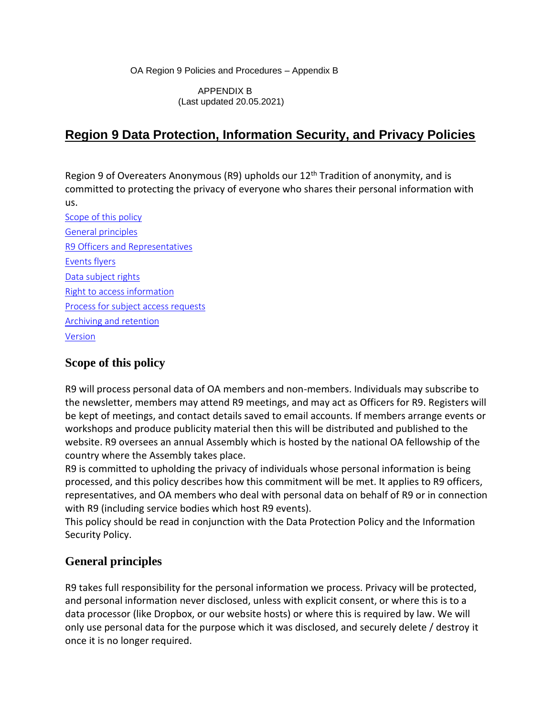OA Region 9 Policies and Procedures – Appendix B

APPENDIX B (Last updated 20.05.2021)

## **Region 9 Data Protection, Information Security, and Privacy Policies**

Region 9 of Overeaters Anonymous (R9) upholds our 12<sup>th</sup> Tradition of anonymity, and is committed to protecting the privacy of everyone who shares their personal information with us.

[Scope of this policy](#page-0-0) [General principles](#page-0-1) R9 [Officers and Representatives](#page-1-0) [Events flyers](#page-1-1) [Data subject rights](#page-1-0) [Right to access information](#page-2-0) [Process for subject access requests](#page-3-0) [Archiving and retention](#page-3-1) [Version](#page-5-0)

## <span id="page-0-2"></span><span id="page-0-0"></span>**Scope of this policy**

R9 will process personal data of OA members and non-members. Individuals may subscribe to the newsletter, members may attend R9 meetings, and may act as Officers for R9. Registers will be kept of meetings, and contact details saved to email accounts. If members arrange events or workshops and produce publicity material then this will be distributed and published to the website. R9 oversees an annual Assembly which is hosted by the national OA fellowship of the country where the Assembly takes place.

R9 is committed to upholding the privacy of individuals whose personal information is being processed, and this policy describes how this commitment will be met. It applies to R9 officers, representatives, and OA members who deal with personal data on behalf of R9 or in connection with R9 (including service bodies which host R9 events).

This policy should be read in conjunction with the Data Protection Policy and the Information Security Policy.

## <span id="page-0-1"></span>**General principles**

R9 takes full responsibility for the personal information we process. Privacy will be protected, and personal information never disclosed, unless with explicit consent, or where this is to a data processor (like Dropbox, or our website hosts) or where this is required by law. We will only use personal data for the purpose which it was disclosed, and securely delete / destroy it once it is no longer required.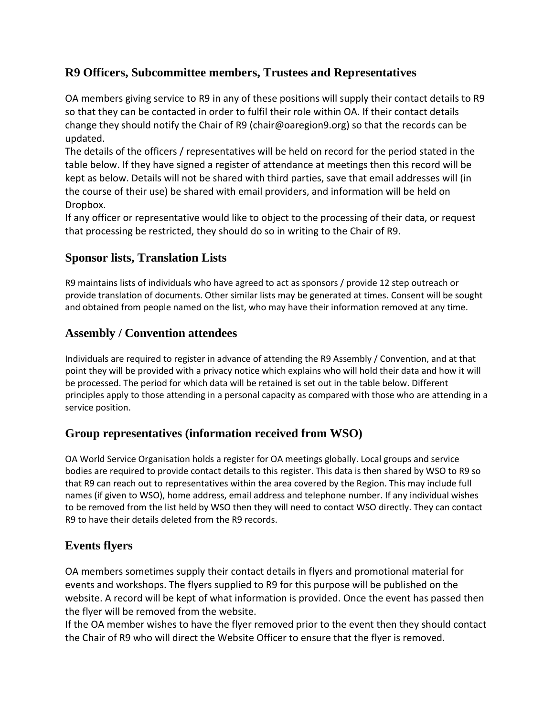## <span id="page-1-0"></span>**R9 Officers, Subcommittee members, Trustees and Representatives**

OA members giving service to R9 in any of these positions will supply their contact details to R9 so that they can be contacted in order to fulfil their role within OA. If their contact details change they should notify the Chair of R9 (chair@oaregion9.org) so that the records can be updated.

The details of the officers / representatives will be held on record for the period stated in the table below. If they have signed a register of attendance at meetings then this record will be kept as below. Details will not be shared with third parties, save that email addresses will (in the course of their use) be shared with email providers, and information will be held on Dropbox.

If any officer or representative would like to object to the processing of their data, or request that processing be restricted, they should do so in writing to the Chair of R9.

## **Sponsor lists, Translation Lists**

R9 maintains lists of individuals who have agreed to act as sponsors / provide 12 step outreach or provide translation of documents. Other similar lists may be generated at times. Consent will be sought and obtained from people named on the list, who may have their information removed at any time.

#### **Assembly / Convention attendees**

Individuals are required to register in advance of attending the R9 Assembly / Convention, and at that point they will be provided with a privacy notice which explains who will hold their data and how it will be processed. The period for which data will be retained is set out in the table below. Different principles apply to those attending in a personal capacity as compared with those who are attending in a service position.

#### **Group representatives (information received from WSO)**

OA World Service Organisation holds a register for OA meetings globally. Local groups and service bodies are required to provide contact details to this register. This data is then shared by WSO to R9 so that R9 can reach out to representatives within the area covered by the Region. This may include full names (if given to WSO), home address, email address and telephone number. If any individual wishes to be removed from the list held by WSO then they will need to contact WSO directly. They can contact R9 to have their details deleted from the R9 records.

## <span id="page-1-1"></span>**Events flyers**

OA members sometimes supply their contact details in flyers and promotional material for events and workshops. The flyers supplied to R9 for this purpose will be published on the website. A record will be kept of what information is provided. Once the event has passed then the flyer will be removed from the website.

If the OA member wishes to have the flyer removed prior to the event then they should contact the Chair of R9 who will direct the Website Officer to ensure that the flyer is removed.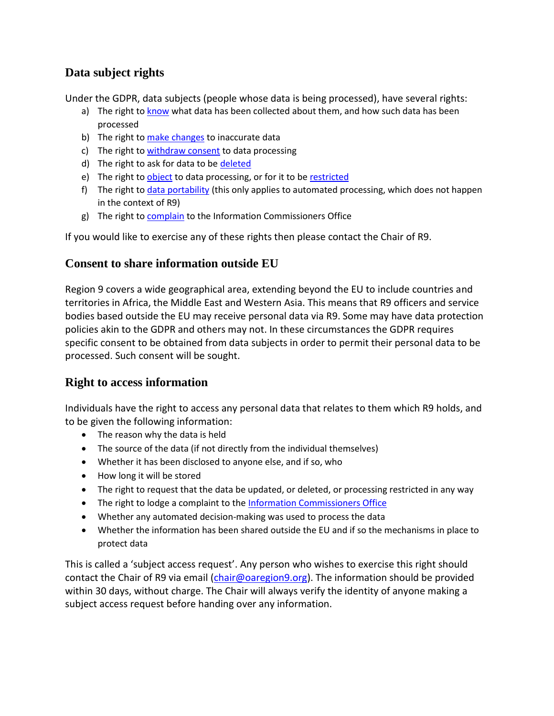## **Data subject rights**

Under the GDPR, data subjects (people whose data is being processed), have several rights:

- a) The right t[o know](https://gdpr-info.eu/art-15-gdpr/) what data has been collected about them, and how such data has been processed
- b) The right t[o make changes](https://gdpr-info.eu/art-16-gdpr/) to inaccurate data
- c) The right t[o withdraw consent](https://gdpr-info.eu/art-7-gdpr/) to data processing
- d) The right to ask for data to be [deleted](https://gdpr-info.eu/art-17-gdpr/)
- e) The right t[o object](https://gdpr-info.eu/art-21-gdpr/) to data processing, or for it to b[e restricted](https://gdpr-info.eu/art-18-gdpr/)
- f) The right t[o data portability](https://gdpr-info.eu/art-20-gdpr/) (this only applies to automated processing, which does not happen in the context of R9)
- g) The right t[o complain](https://gdpr-info.eu/art-77-gdpr/) to the Information Commissioners Office

<span id="page-2-0"></span>If you would like to exercise any of these rights then please contact the Chair of R9.

#### **Consent to share information outside EU**

Region 9 covers a wide geographical area, extending beyond the EU to include countries and territories in Africa, the Middle East and Western Asia. This means that R9 officers and service bodies based outside the EU may receive personal data via R9. Some may have data protection policies akin to the GDPR and others may not. In these circumstances the GDPR requires specific consent to be obtained from data subjects in order to permit their personal data to be processed. Such consent will be sought.

#### **Right to access information**

Individuals have the right to access any personal data that relates to them which R9 holds, and to be given the following information:

- The reason why the data is held
- The source of the data (if not directly from the individual themselves)
- Whether it has been disclosed to anyone else, and if so, who
- How long it will be stored
- The right to request that the data be updated, or deleted, or processing restricted in any way
- The right to lodge a complaint to the [Information Commissioners Office](https://ico.org.uk/)
- Whether any automated decision-making was used to process the data
- Whether the information has been shared outside the EU and if so the mechanisms in place to protect data

This is called a 'subject access request'. Any person who wishes to exercise this right should contact the Chair of R9 via email [\(chair@oaregion9.org\)](mailto:chair@oaregion9.org). The information should be provided within 30 days, without charge. The Chair will always verify the identity of anyone making a subject access request before handing over any information.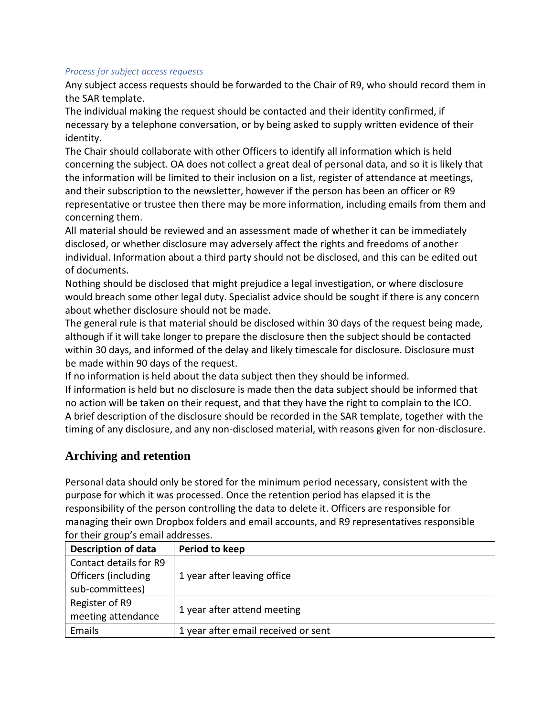#### <span id="page-3-0"></span>*Process for subject access requests*

Any subject access requests should be forwarded to the Chair of R9, who should record them in the SAR template.

The individual making the request should be contacted and their identity confirmed, if necessary by a telephone conversation, or by being asked to supply written evidence of their identity.

The Chair should collaborate with other Officers to identify all information which is held concerning the subject. OA does not collect a great deal of personal data, and so it is likely that the information will be limited to their inclusion on a list, register of attendance at meetings, and their subscription to the newsletter, however if the person has been an officer or R9 representative or trustee then there may be more information, including emails from them and concerning them.

All material should be reviewed and an assessment made of whether it can be immediately disclosed, or whether disclosure may adversely affect the rights and freedoms of another individual. Information about a third party should not be disclosed, and this can be edited out of documents.

Nothing should be disclosed that might prejudice a legal investigation, or where disclosure would breach some other legal duty. Specialist advice should be sought if there is any concern about whether disclosure should not be made.

The general rule is that material should be disclosed within 30 days of the request being made, although if it will take longer to prepare the disclosure then the subject should be contacted within 30 days, and informed of the delay and likely timescale for disclosure. Disclosure must be made within 90 days of the request.

If no information is held about the data subject then they should be informed.

If information is held but no disclosure is made then the data subject should be informed that no action will be taken on their request, and that they have the right to complain to the ICO. A brief description of the disclosure should be recorded in the SAR template, together with the timing of any disclosure, and any non-disclosed material, with reasons given for non-disclosure.

#### <span id="page-3-1"></span>**Archiving and retention**

Personal data should only be stored for the minimum period necessary, consistent with the purpose for which it was processed. Once the retention period has elapsed it is the responsibility of the person controlling the data to delete it. Officers are responsible for managing their own Dropbox folders and email accounts, and R9 representatives responsible for their group's email addresses.

| <b>Description of data</b> | Period to keep                      |
|----------------------------|-------------------------------------|
| Contact details for R9     |                                     |
| Officers (including        | 1 year after leaving office         |
| sub-committees)            |                                     |
| Register of R9             |                                     |
| meeting attendance         | 1 year after attend meeting         |
| Emails                     | 1 year after email received or sent |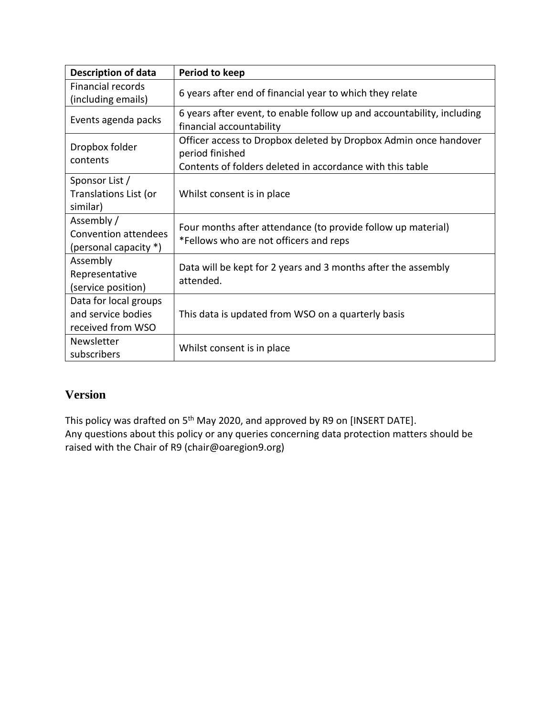| <b>Description of data</b>                                         | Period to keep                                                                                                                                   |  |  |  |  |  |
|--------------------------------------------------------------------|--------------------------------------------------------------------------------------------------------------------------------------------------|--|--|--|--|--|
| <b>Financial records</b><br>(including emails)                     | 6 years after end of financial year to which they relate                                                                                         |  |  |  |  |  |
| Events agenda packs                                                | 6 years after event, to enable follow up and accountability, including<br>financial accountability                                               |  |  |  |  |  |
| Dropbox folder<br>contents                                         | Officer access to Dropbox deleted by Dropbox Admin once handover<br>period finished<br>Contents of folders deleted in accordance with this table |  |  |  |  |  |
| Sponsor List /<br>Translations List (or<br>similar)                | Whilst consent is in place                                                                                                                       |  |  |  |  |  |
| Assembly /<br><b>Convention attendees</b><br>(personal capacity *) | Four months after attendance (to provide follow up material)<br>*Fellows who are not officers and reps                                           |  |  |  |  |  |
| Assembly<br>Representative<br>(service position)                   | Data will be kept for 2 years and 3 months after the assembly<br>attended.                                                                       |  |  |  |  |  |
| Data for local groups<br>and service bodies<br>received from WSO   | This data is updated from WSO on a quarterly basis                                                                                               |  |  |  |  |  |
| Newsletter<br>subscribers                                          | Whilst consent is in place                                                                                                                       |  |  |  |  |  |

## **Version**

This policy was drafted on 5<sup>th</sup> May 2020, and approved by R9 on [INSERT DATE]. Any questions about this policy or any queries concerning data protection matters should be raised with the Chair of R9 (chair@oaregion9.org)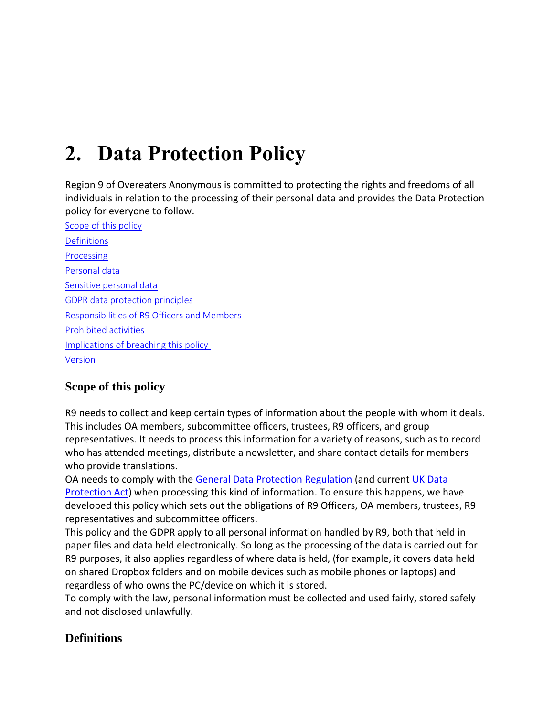# **2. Data Protection Policy**

Region 9 of Overeaters Anonymous is committed to protecting the rights and freedoms of all individuals in relation to the processing of their personal data and provides the Data Protection policy for everyone to follow.

<span id="page-5-1"></span>[Scope of this policy](#page-5-1) **[Definitions](#page-5-0)** [Processing](#page-6-0) [Personal data](#page-6-1) [Sensitive personal data](#page-6-2) [GDPR data protection principles](#page-6-3) Responsibilities of R9 [Officers and Members](#page-7-0) [Prohibited activities](#page-8-0) [Implications of breaching this policy](#page-8-1) [Version](#page-8-2)

## **Scope of this policy**

R9 needs to collect and keep certain types of information about the people with whom it deals. This includes OA members, subcommittee officers, trustees, R9 officers, and group representatives. It needs to process this information for a variety of reasons, such as to record who has attended meetings, distribute a newsletter, and share contact details for members who provide translations.

OA needs to comply with the [General Data Protection Regulation](https://gdpr-info.eu/) (and current [UK Data](http://www.legislation.gov.uk/ukpga/1998/29/contents)  [Protection Act\)](http://www.legislation.gov.uk/ukpga/1998/29/contents) when processing this kind of information. To ensure this happens, we have developed this policy which sets out the obligations of R9 Officers, OA members, trustees, R9 representatives and subcommittee officers.

This policy and the GDPR apply to all personal information handled by R9, both that held in paper files and data held electronically. So long as the processing of the data is carried out for R9 purposes, it also applies regardless of where data is held, (for example, it covers data held on shared Dropbox folders and on mobile devices such as mobile phones or laptops) and regardless of who owns the PC/device on which it is stored.

To comply with the law, personal information must be collected and used fairly, stored safely and not disclosed unlawfully.

## <span id="page-5-0"></span>**Definitions**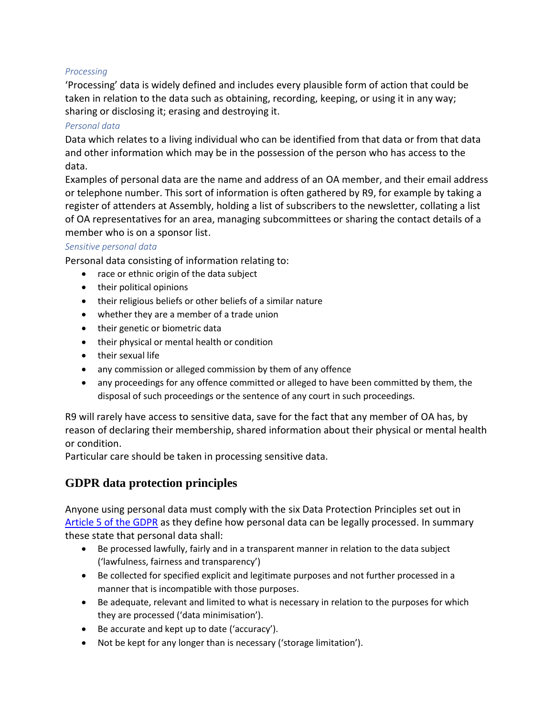#### <span id="page-6-0"></span>*Processing*

'Processing' data is widely defined and includes every plausible form of action that could be taken in relation to the data such as obtaining, recording, keeping, or using it in any way; sharing or disclosing it; erasing and destroying it.

#### <span id="page-6-1"></span>*Personal data*

Data which relates to a living individual who can be identified from that data or from that data and other information which may be in the possession of the person who has access to the data.

Examples of personal data are the name and address of an OA member, and their email address or telephone number. This sort of information is often gathered by R9, for example by taking a register of attenders at Assembly, holding a list of subscribers to the newsletter, collating a list of OA representatives for an area, managing subcommittees or sharing the contact details of a member who is on a sponsor list.

#### <span id="page-6-2"></span>*Sensitive personal data*

Personal data consisting of information relating to:

- race or ethnic origin of the data subject
- their political opinions
- their religious beliefs or other beliefs of a similar nature
- whether they are a member of a trade union
- their genetic or biometric data
- their physical or mental health or condition
- their sexual life
- any commission or alleged commission by them of any offence
- any proceedings for any offence committed or alleged to have been committed by them, the disposal of such proceedings or the sentence of any court in such proceedings.

R9 will rarely have access to sensitive data, save for the fact that any member of OA has, by reason of declaring their membership, shared information about their physical or mental health or condition.

<span id="page-6-3"></span>Particular care should be taken in processing sensitive data.

#### **GDPR data protection principles**

Anyone using personal data must comply with the six Data Protection Principles set out in [Article 5 of the GDPR](https://gdpr-info.eu/art-5-gdpr/) as they define how personal data can be legally processed. In summary these state that personal data shall:

- Be processed lawfully, fairly and in a transparent manner in relation to the data subject ('lawfulness, fairness and transparency')
- Be collected for specified explicit and legitimate purposes and not further processed in a manner that is incompatible with those purposes.
- Be adequate, relevant and limited to what is necessary in relation to the purposes for which they are processed ('data minimisation').
- Be accurate and kept up to date ('accuracy').
- Not be kept for any longer than is necessary ('storage limitation').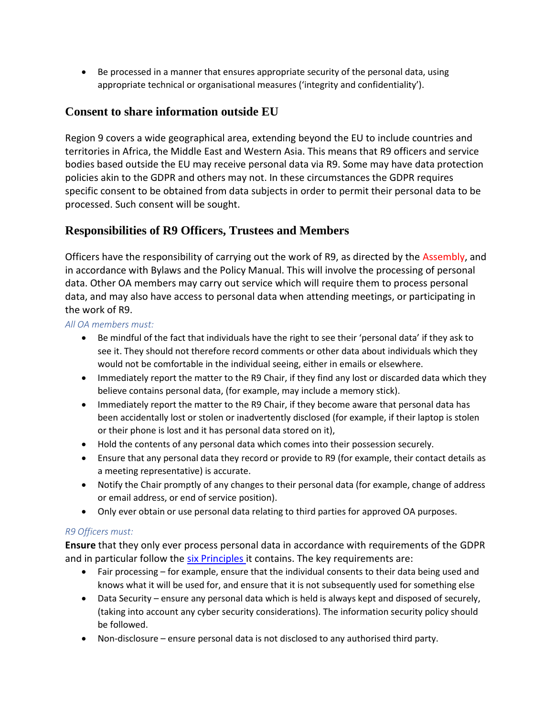• Be processed in a manner that ensures appropriate security of the personal data, using appropriate technical or organisational measures ('integrity and confidentiality').

### **Consent to share information outside EU**

Region 9 covers a wide geographical area, extending beyond the EU to include countries and territories in Africa, the Middle East and Western Asia. This means that R9 officers and service bodies based outside the EU may receive personal data via R9. Some may have data protection policies akin to the GDPR and others may not. In these circumstances the GDPR requires specific consent to be obtained from data subjects in order to permit their personal data to be processed. Such consent will be sought.

### <span id="page-7-0"></span>**Responsibilities of R9 Officers, Trustees and Members**

Officers have the responsibility of carrying out the work of R9, as directed by the Assembly, and in accordance with Bylaws and the Policy Manual. This will involve the processing of personal data. Other OA members may carry out service which will require them to process personal data, and may also have access to personal data when attending meetings, or participating in the work of R9.

#### *All OA members must:*

- Be mindful of the fact that individuals have the right to see their 'personal data' if they ask to see it. They should not therefore record comments or other data about individuals which they would not be comfortable in the individual seeing, either in emails or elsewhere.
- Immediately report the matter to the R9 Chair, if they find any lost or discarded data which they believe contains personal data, (for example, may include a memory stick).
- Immediately report the matter to the R9 Chair, if they become aware that personal data has been accidentally lost or stolen or inadvertently disclosed (for example, if their laptop is stolen or their phone is lost and it has personal data stored on it),
- Hold the contents of any personal data which comes into their possession securely.
- Ensure that any personal data they record or provide to R9 (for example, their contact details as a meeting representative) is accurate.
- Notify the Chair promptly of any changes to their personal data (for example, change of address or email address, or end of service position).
- Only ever obtain or use personal data relating to third parties for approved OA purposes.

#### *R9 Officers must:*

**Ensure** that they only ever process personal data in accordance with requirements of the GDPR and in particular follow the [six Principles](#page-8-0) it contains. The key requirements are:

- Fair processing for example, ensure that the individual consents to their data being used and knows what it will be used for, and ensure that it is not subsequently used for something else
- Data Security ensure any personal data which is held is always kept and disposed of securely, (taking into account any cyber security considerations). The information security policy should be followed.
- Non-disclosure ensure personal data is not disclosed to any authorised third party.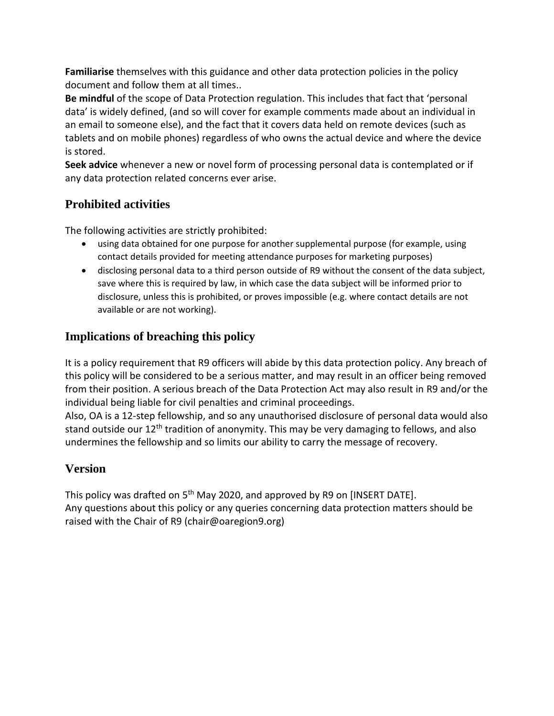**Familiarise** themselves with this guidance and other data protection policies in the policy document and follow them at all times..

**Be mindful** of the scope of Data Protection regulation. This includes that fact that 'personal data' is widely defined, (and so will cover for example comments made about an individual in an email to someone else), and the fact that it covers data held on remote devices (such as tablets and on mobile phones) regardless of who owns the actual device and where the device is stored.

**Seek advice** whenever a new or novel form of processing personal data is contemplated or if any data protection related concerns ever arise.

## <span id="page-8-0"></span>**Prohibited activities**

The following activities are strictly prohibited:

- using data obtained for one purpose for another supplemental purpose (for example, using contact details provided for meeting attendance purposes for marketing purposes)
- disclosing personal data to a third person outside of R9 without the consent of the data subject, save where this is required by law, in which case the data subject will be informed prior to disclosure, unless this is prohibited, or proves impossible (e.g. where contact details are not available or are not working).

## <span id="page-8-1"></span>**Implications of breaching this policy**

It is a policy requirement that R9 officers will abide by this data protection policy. Any breach of this policy will be considered to be a serious matter, and may result in an officer being removed from their position. A serious breach of the Data Protection Act may also result in R9 and/or the individual being liable for civil penalties and criminal proceedings.

Also, OA is a 12-step fellowship, and so any unauthorised disclosure of personal data would also stand outside our 12<sup>th</sup> tradition of anonymity. This may be very damaging to fellows, and also undermines the fellowship and so limits our ability to carry the message of recovery.

## <span id="page-8-2"></span>**Version**

This policy was drafted on  $5<sup>th</sup>$  May 2020, and approved by R9 on [INSERT DATE]. Any questions about this policy or any queries concerning data protection matters should be raised with the Chair of R9 (chair@oaregion9.org)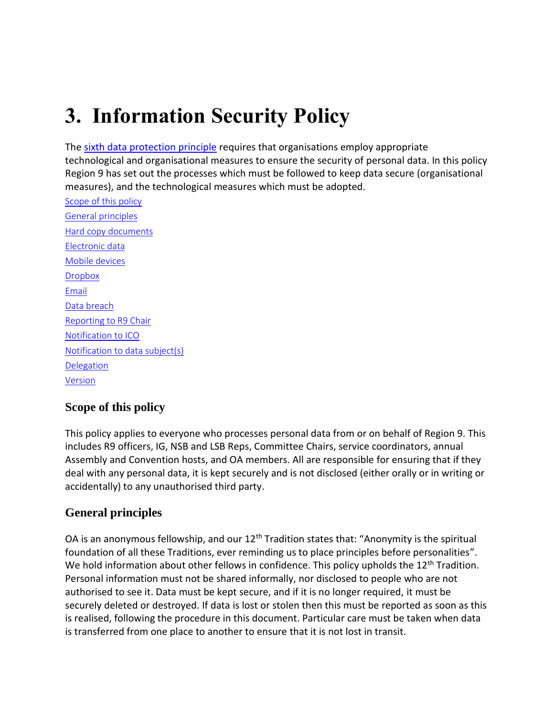## **3. Information Security Policy**

The [sixth data protection principle](https://gdpr-info.eu/art-5-gdpr/) requires that organisations employ appropriate technological and organisational measures to ensure the security of personal data. In this policy Region 9 has set out the processes which must be followed to keep data secure (organisational measures), and the technological measures which must be adopted.

[Scope of this policy](#page-0-0) [General principles](#page-0-1) [Hard copy documents](#page-1-0) [Electronic data](#page-2-0) [Mobile](#page-6-0) devices **[Dropbox](#page-11-0)** [Email](#page-0-2) [Data breach](#page-12-0) [Reporting to R9 Chair](#page-12-1) [Notification to ICO](#page-12-2) [Notification to data](#page-13-0) subject(s) [Delegation](#page-13-1) [Version](#page-5-0)

## **Scope of this policy**

This policy applies to everyone who processes personal data from or on behalf of Region 9. This includes R9 officers, IG, NSB and LSB Reps, Committee Chairs, service coordinators, annual Assembly and Convention hosts, and OA members. All are responsible for ensuring that if they deal with any personal data, it is kept securely and is not disclosed (either orally or in writing or accidentally) to any unauthorised third party.

## **General principles**

OA is an anonymous fellowship, and our  $12<sup>th</sup>$  Tradition states that: "Anonymity is the spiritual foundation of all these Traditions, ever reminding us to place principles before personalities". We hold information about other fellows in confidence. This policy upholds the  $12<sup>th</sup>$  Tradition. Personal information must not be shared informally, nor disclosed to people who are not authorised to see it. Data must be kept secure, and if it is no longer required, it must be securely deleted or destroyed. If data is lost or stolen then this must be reported as soon as this is realised, following the procedure in this document. Particular care must be taken when data is transferred from one place to another to ensure that it is not lost in transit.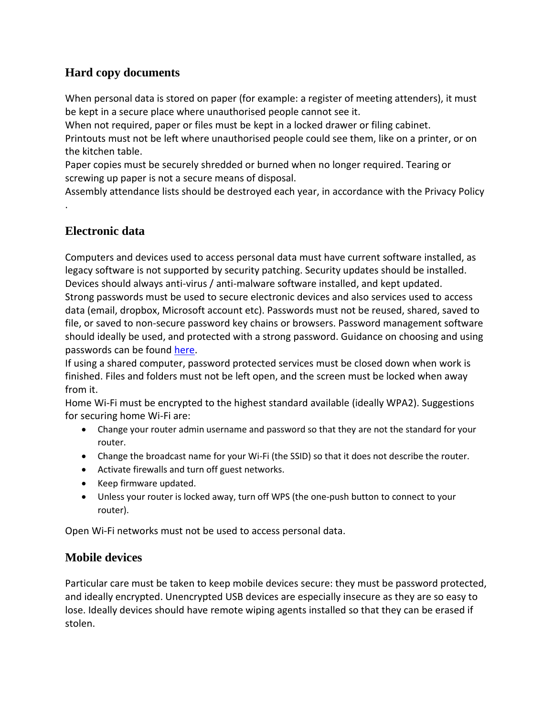## **Hard copy documents**

When personal data is stored on paper (for example: a register of meeting attenders), it must be kept in a secure place where unauthorised people cannot see it.

When not required, paper or files must be kept in a locked drawer or filing cabinet.

Printouts must not be left where unauthorised people could see them, like on a printer, or on the kitchen table.

Paper copies must be securely shredded or burned when no longer required. Tearing or screwing up paper is not a secure means of disposal.

Assembly attendance lists should be destroyed each year, in accordance with the Privacy Policy

## **Electronic data**

.

Computers and devices used to access personal data must have current software installed, as legacy software is not supported by security patching. Security updates should be installed. Devices should always anti-virus / anti-malware software installed, and kept updated. Strong passwords must be used to secure electronic devices and also services used to access data (email, dropbox, Microsoft account etc). Passwords must not be reused, shared, saved to file, or saved to non-secure password key chains or browsers. Password management software should ideally be used, and protected with a strong password. Guidance on choosing and using passwords can be found [here.](https://www.schneier.com/blog/archives/2014/03/choosing_secure_1.html)

If using a shared computer, password protected services must be closed down when work is finished. Files and folders must not be left open, and the screen must be locked when away from it.

Home Wi-Fi must be encrypted to the highest standard available (ideally WPA2). Suggestions for securing home Wi-Fi are:

- Change your router admin username and password so that they are not the standard for your router.
- Change the broadcast name for your Wi-Fi (the SSID) so that it does not describe the router.
- Activate firewalls and turn off guest networks.
- Keep firmware updated.
- Unless your router is locked away, turn off WPS (the one-push button to connect to your router).

Open Wi-Fi networks must not be used to access personal data.

#### **Mobile devices**

Particular care must be taken to keep mobile devices secure: they must be password protected, and ideally encrypted. Unencrypted USB devices are especially insecure as they are so easy to lose. Ideally devices should have remote wiping agents installed so that they can be erased if stolen.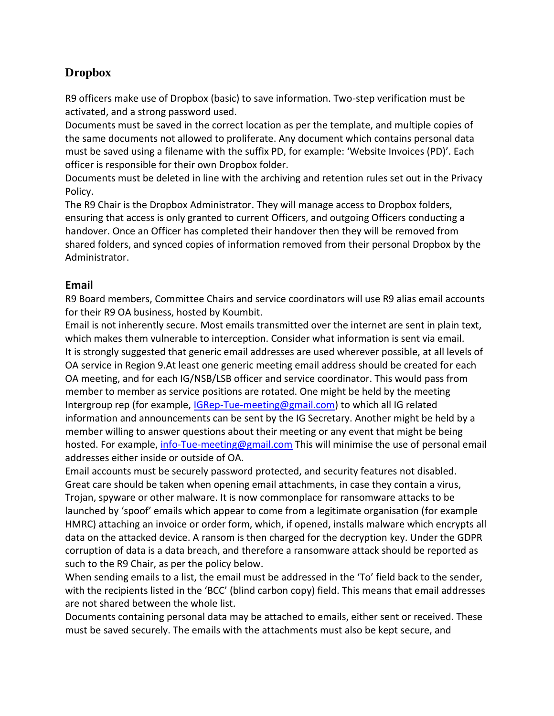## <span id="page-11-0"></span>**Dropbox**

R9 officers make use of Dropbox (basic) to save information. Two-step verification must be activated, and a strong password used.

Documents must be saved in the correct location as per the template, and multiple copies of the same documents not allowed to proliferate. Any document which contains personal data must be saved using a filename with the suffix PD, for example: 'Website Invoices (PD)'. Each officer is responsible for their own Dropbox folder.

Documents must be deleted in line with the archiving and retention rules set out in the Privacy Policy.

The R9 Chair is the Dropbox Administrator. They will manage access to Dropbox folders, ensuring that access is only granted to current Officers, and outgoing Officers conducting a handover. Once an Officer has completed their handover then they will be removed from shared folders, and synced copies of information removed from their personal Dropbox by the Administrator.

#### **Email**

R9 Board members, Committee Chairs and service coordinators will use R9 alias email accounts for their R9 OA business, hosted by Koumbit.

Email is not inherently secure. Most emails transmitted over the internet are sent in plain text, which makes them vulnerable to interception. Consider what information is sent via email. It is strongly suggested that generic email addresses are used wherever possible, at all levels of OA service in Region 9.At least one generic meeting email address should be created for each OA meeting, and for each IG/NSB/LSB officer and service coordinator. This would pass from member to member as service positions are rotated. One might be held by the meeting Intergroup rep (for example, [IGRep-Tue-meeting@gmail.com\)](mailto:igrepbeaconsfieldoa@gmail.com) to which all IG related information and announcements can be sent by the IG Secretary. Another might be held by a member willing to answer questions about their meeting or any event that might be being hosted. For example, [info-Tue-meeting@gmail.com](mailto:infobeaconsfieldoa@gmail.com) This will minimise the use of personal email addresses either inside or outside of OA.

Email accounts must be securely password protected, and security features not disabled. Great care should be taken when opening email attachments, in case they contain a virus, Trojan, spyware or other malware. It is now commonplace for ransomware attacks to be launched by 'spoof' emails which appear to come from a legitimate organisation (for example HMRC) attaching an invoice or order form, which, if opened, installs malware which encrypts all data on the attacked device. A ransom is then charged for the decryption key. Under the GDPR corruption of data is a data breach, and therefore a ransomware attack should be reported as such to the R9 Chair, as per the policy below.

When sending emails to a list, the email must be addressed in the 'To' field back to the sender, with the recipients listed in the 'BCC' (blind carbon copy) field. This means that email addresses are not shared between the whole list.

Documents containing personal data may be attached to emails, either sent or received. These must be saved securely. The emails with the attachments must also be kept secure, and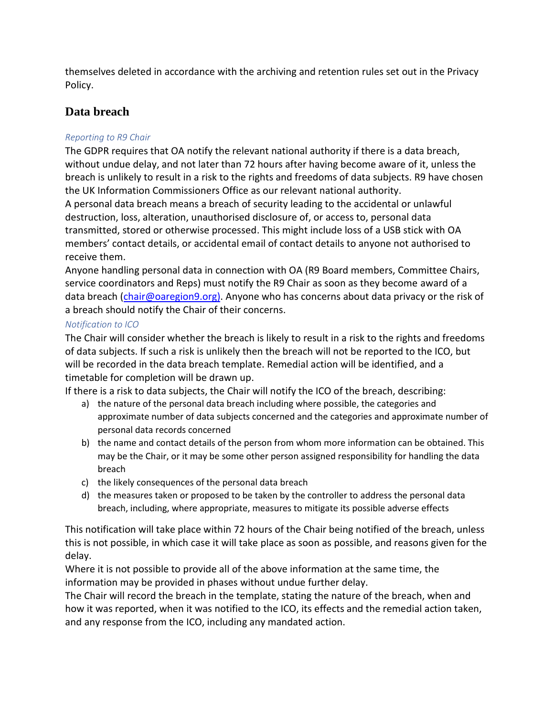themselves deleted in accordance with the archiving and retention rules set out in the Privacy Policy.

## <span id="page-12-0"></span>**Data breach**

#### <span id="page-12-1"></span>*Reporting to R9 Chair*

The GDPR requires that OA notify the relevant national authority if there is a data breach, without undue delay, and not later than 72 hours after having become aware of it, unless the breach is unlikely to result in a risk to the rights and freedoms of data subjects. R9 have chosen the UK Information Commissioners Office as our relevant national authority.

A personal data breach means a breach of security leading to the accidental or unlawful destruction, loss, alteration, unauthorised disclosure of, or access to, personal data transmitted, stored or otherwise processed. This might include loss of a USB stick with OA members' contact details, or accidental email of contact details to anyone not authorised to receive them.

Anyone handling personal data in connection with OA (R9 Board members, Committee Chairs, service coordinators and Reps) must notify the R9 Chair as soon as they become award of a data breach [\(chair@oaregion9.org\)](mailto:chair@oasouthandeastengland.org.uk). Anyone who has concerns about data privacy or the risk of a breach should notify the Chair of their concerns.

#### <span id="page-12-2"></span>*Notification to ICO*

The Chair will consider whether the breach is likely to result in a risk to the rights and freedoms of data subjects. If such a risk is unlikely then the breach will not be reported to the ICO, but will be recorded in the data breach template. Remedial action will be identified, and a timetable for completion will be drawn up.

If there is a risk to data subjects, the Chair will notify the ICO of the breach, describing:

- a) the nature of the personal data breach including where possible, the categories and approximate number of data subjects concerned and the categories and approximate number of personal data records concerned
- b) the name and contact details of the person from whom more information can be obtained. This may be the Chair, or it may be some other person assigned responsibility for handling the data breach
- c) the likely consequences of the personal data breach
- d) the measures taken or proposed to be taken by the controller to address the personal data breach, including, where appropriate, measures to mitigate its possible adverse effects

This notification will take place within 72 hours of the Chair being notified of the breach, unless this is not possible, in which case it will take place as soon as possible, and reasons given for the delay.

Where it is not possible to provide all of the above information at the same time, the information may be provided in phases without undue further delay.

The Chair will record the breach in the template, stating the nature of the breach, when and how it was reported, when it was notified to the ICO, its effects and the remedial action taken, and any response from the ICO, including any mandated action.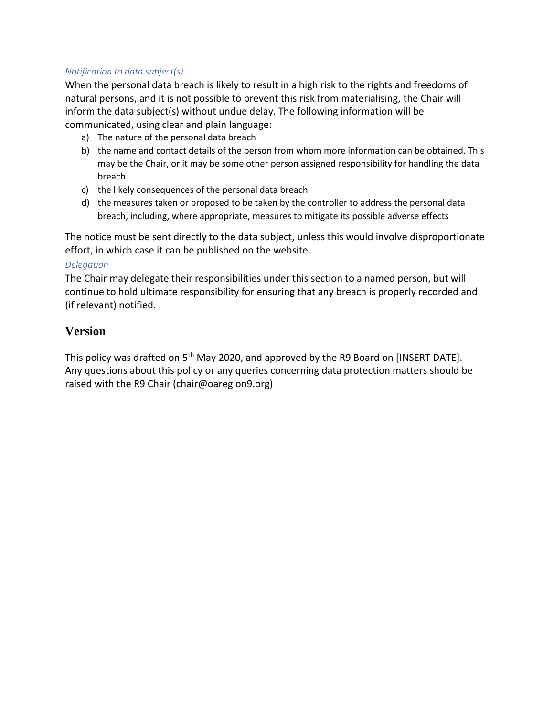#### <span id="page-13-0"></span>*Notification to data subject(s)*

When the personal data breach is likely to result in a high risk to the rights and freedoms of natural persons, and it is not possible to prevent this risk from materialising, the Chair will inform the data subject(s) without undue delay. The following information will be communicated, using clear and plain language:

- a) The nature of the personal data breach
- b) the name and contact details of the person from whom more information can be obtained. This may be the Chair, or it may be some other person assigned responsibility for handling the data breach
- c) the likely consequences of the personal data breach
- d) the measures taken or proposed to be taken by the controller to address the personal data breach, including, where appropriate, measures to mitigate its possible adverse effects

The notice must be sent directly to the data subject, unless this would involve disproportionate effort, in which case it can be published on the website.

#### <span id="page-13-1"></span>*Delegation*

The Chair may delegate their responsibilities under this section to a named person, but will continue to hold ultimate responsibility for ensuring that any breach is properly recorded and (if relevant) notified.

#### **Version**

This policy was drafted on  $5<sup>th</sup>$  May 2020, and approved by the R9 Board on [INSERT DATE]. Any questions about this policy or any queries concerning data protection matters should be raised with the R9 Chair (chair@oaregion9.org)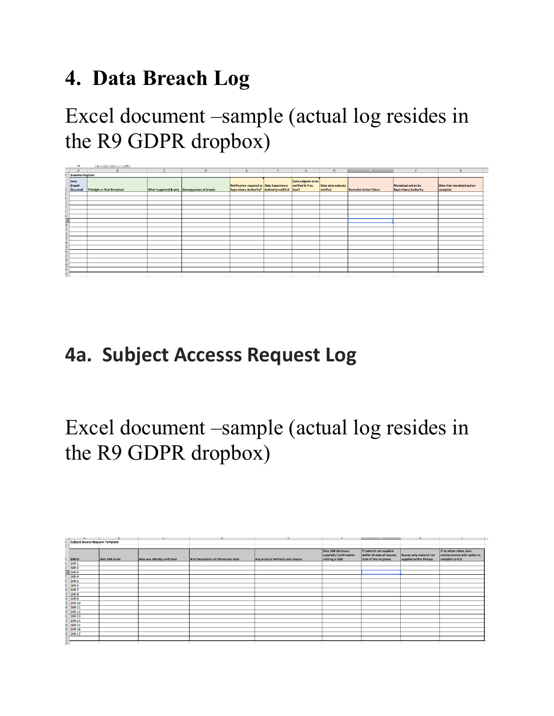# **4. Data Breach Log**

Excel document –sample (actual log resides in the R9 GDPR dropbox)

|                          | $\overline{5}$             | $\cdot$ $\circ$ $\circ$ $\cdot$ $\cdot$ |            |                                            |                                                                                             |   |                                          |                                |                              |                                             |                                       |
|--------------------------|----------------------------|-----------------------------------------|------------|--------------------------------------------|---------------------------------------------------------------------------------------------|---|------------------------------------------|--------------------------------|------------------------------|---------------------------------------------|---------------------------------------|
| ┙                        | $\mathbf{A}$               | B                                       | $\epsilon$ | D                                          | E                                                                                           | п | G                                        | H                              |                              |                                             | $\mathsf{K}$                          |
| <b>Breaches Register</b> |                            |                                         |            |                                            |                                                                                             |   |                                          |                                |                              |                                             |                                       |
|                          | Date<br>Breach<br>Occurred | <b>Principle or Rule Breached</b>       |            | What happened & why Consequences of breach | Notification required to Date Supervisory<br>Supervisory Authority? Authority notified how? |   | Data subjects to be<br>notified & if so, | Date data subjects<br>notified | <b>Remedial Action Taken</b> | Mandated action by<br>Supervisory Authority | Date that mandated action<br>complete |
|                          |                            |                                         |            |                                            |                                                                                             |   |                                          |                                |                              |                                             |                                       |
|                          |                            |                                         |            |                                            |                                                                                             |   |                                          |                                |                              |                                             |                                       |
|                          |                            |                                         |            |                                            |                                                                                             |   |                                          |                                |                              |                                             |                                       |
|                          |                            |                                         |            |                                            |                                                                                             |   |                                          |                                |                              |                                             |                                       |
|                          |                            |                                         |            |                                            |                                                                                             |   |                                          |                                |                              |                                             |                                       |
|                          |                            |                                         |            |                                            |                                                                                             |   |                                          |                                |                              |                                             |                                       |
|                          |                            |                                         |            |                                            |                                                                                             |   |                                          |                                |                              |                                             |                                       |
|                          |                            |                                         |            |                                            |                                                                                             |   |                                          |                                |                              |                                             |                                       |
|                          |                            |                                         |            |                                            |                                                                                             |   |                                          |                                |                              |                                             |                                       |
|                          |                            |                                         |            |                                            |                                                                                             |   |                                          |                                |                              |                                             |                                       |
|                          |                            |                                         |            |                                            |                                                                                             |   |                                          |                                |                              |                                             |                                       |
|                          |                            |                                         |            |                                            |                                                                                             |   |                                          |                                |                              |                                             |                                       |
|                          |                            |                                         |            |                                            |                                                                                             |   |                                          |                                |                              |                                             |                                       |
|                          |                            |                                         |            |                                            |                                                                                             |   |                                          |                                |                              |                                             |                                       |
|                          |                            |                                         |            |                                            |                                                                                             |   |                                          |                                |                              |                                             |                                       |
|                          |                            |                                         |            |                                            |                                                                                             |   |                                          |                                |                              |                                             |                                       |
|                          |                            |                                         |            |                                            |                                                                                             |   |                                          |                                |                              |                                             |                                       |
|                          |                            |                                         |            |                                            |                                                                                             |   |                                          |                                |                              |                                             |                                       |
|                          |                            |                                         |            |                                            |                                                                                             |   |                                          |                                |                              |                                             |                                       |

## **4a. Subject Accesss Request Log**

## Excel document –sample (actual log resides in the R9 GDPR dropbox)

|                                        | $\overline{M}$ | $\mathbf{D}$  | $\sim$                     | v                                     | п.                                | <b>F</b>                                                          | $\sim$                                                                           | п.                                                        | п.                                                                         |
|----------------------------------------|----------------|---------------|----------------------------|---------------------------------------|-----------------------------------|-------------------------------------------------------------------|----------------------------------------------------------------------------------|-----------------------------------------------------------|----------------------------------------------------------------------------|
| <b>Subject Access Request Template</b> |                |               |                            |                                       |                                   |                                                                   |                                                                                  |                                                           |                                                                            |
|                                        |                |               |                            |                                       |                                   |                                                                   |                                                                                  |                                                           |                                                                            |
|                                        | SAR ID         | Date SAR made | How was identity confirmed | Brief description of information held | Any material withheld and reasons | Date SAR disclosure<br>supplied / confirmation<br>nothing is held | If material not supplied<br>within 30 days of request,<br>date of first response | <b>Reason why material not</b><br>supplied within 30 days | If no action taken, date<br>communicated with option to<br>complain to ICO |
|                                        | $SAR-1$        |               |                            |                                       |                                   |                                                                   |                                                                                  |                                                           |                                                                            |
|                                        | SAR-2          |               |                            |                                       |                                   |                                                                   |                                                                                  |                                                           |                                                                            |
|                                        | SAR-3          |               |                            |                                       |                                   |                                                                   |                                                                                  |                                                           |                                                                            |
|                                        | SAR-4          |               |                            |                                       |                                   |                                                                   |                                                                                  |                                                           |                                                                            |
|                                        | SAR-5          |               |                            |                                       |                                   |                                                                   |                                                                                  |                                                           |                                                                            |
|                                        | SAR-6          |               |                            |                                       |                                   |                                                                   |                                                                                  |                                                           |                                                                            |
| 0                                      | SAR-7          |               |                            |                                       |                                   |                                                                   |                                                                                  |                                                           |                                                                            |
|                                        | SAR-8          |               |                            |                                       |                                   |                                                                   |                                                                                  |                                                           |                                                                            |
|                                        | SAR-9          |               |                            |                                       |                                   |                                                                   |                                                                                  |                                                           |                                                                            |
|                                        | <b>SAR-10</b>  |               |                            |                                       |                                   |                                                                   |                                                                                  |                                                           |                                                                            |
|                                        | <b>SAR-11</b>  |               |                            |                                       |                                   |                                                                   |                                                                                  |                                                           |                                                                            |
|                                        | <b>SAR-12</b>  |               |                            |                                       |                                   |                                                                   |                                                                                  |                                                           |                                                                            |
|                                        | 6 SAR-13       |               |                            |                                       |                                   |                                                                   |                                                                                  |                                                           |                                                                            |
|                                        | <b>SAR-14</b>  |               |                            |                                       |                                   |                                                                   |                                                                                  |                                                           |                                                                            |
|                                        | <b>SAR-15</b>  |               |                            |                                       |                                   |                                                                   |                                                                                  |                                                           |                                                                            |
| ۹                                      | <b>SAR-16</b>  |               |                            |                                       |                                   |                                                                   |                                                                                  |                                                           |                                                                            |
|                                        | <b>SAR-17</b>  |               |                            |                                       |                                   |                                                                   |                                                                                  |                                                           |                                                                            |
|                                        |                |               |                            |                                       |                                   |                                                                   |                                                                                  |                                                           |                                                                            |
|                                        |                |               |                            |                                       |                                   |                                                                   |                                                                                  |                                                           |                                                                            |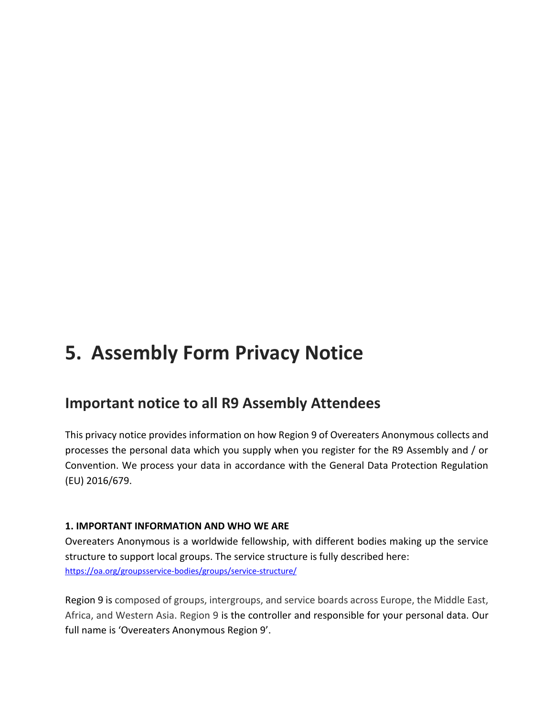## **5. Assembly Form Privacy Notice**

## **Important notice to all R9 Assembly Attendees**

This privacy notice provides information on how Region 9 of Overeaters Anonymous collects and processes the personal data which you supply when you register for the R9 Assembly and / or Convention. We process your data in accordance with the General Data Protection Regulation (EU) 2016/679.

#### **1. IMPORTANT INFORMATION AND WHO WE ARE**

Overeaters Anonymous is a worldwide fellowship, with different bodies making up the service structure to support local groups. The service structure is fully described here: <https://oa.org/groupsservice-bodies/groups/service-structure/>

Region 9 is composed of groups, intergroups, and service boards across Europe, the Middle East, Africa, and Western Asia. Region 9 is the controller and responsible for your personal data. Our full name is 'Overeaters Anonymous Region 9'.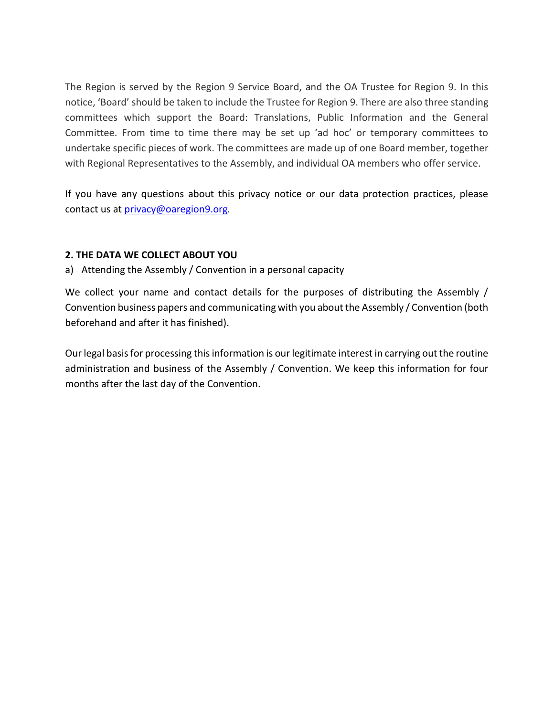The Region is served by the Region 9 Service Board, and the OA Trustee for Region 9. In this notice, 'Board' should be taken to include the Trustee for Region 9. There are also three standing committees which support the Board: Translations, Public Information and the General Committee. From time to time there may be set up 'ad hoc' or temporary committees to undertake specific pieces of work. The committees are made up of one Board member, together with Regional Representatives to the Assembly, and individual OA members who offer service.

If you have any questions about this privacy notice or our data protection practices, please contact us at [privacy@oaregion9.org](mailto:privacy@oaregion9.org)*.*

#### **2. THE DATA WE COLLECT ABOUT YOU**

a) Attending the Assembly / Convention in a personal capacity

We collect your name and contact details for the purposes of distributing the Assembly / Convention business papers and communicating with you about the Assembly / Convention (both beforehand and after it has finished).

Our legal basis for processing this information is our legitimate interest in carrying out the routine administration and business of the Assembly / Convention. We keep this information for four months after the last day of the Convention.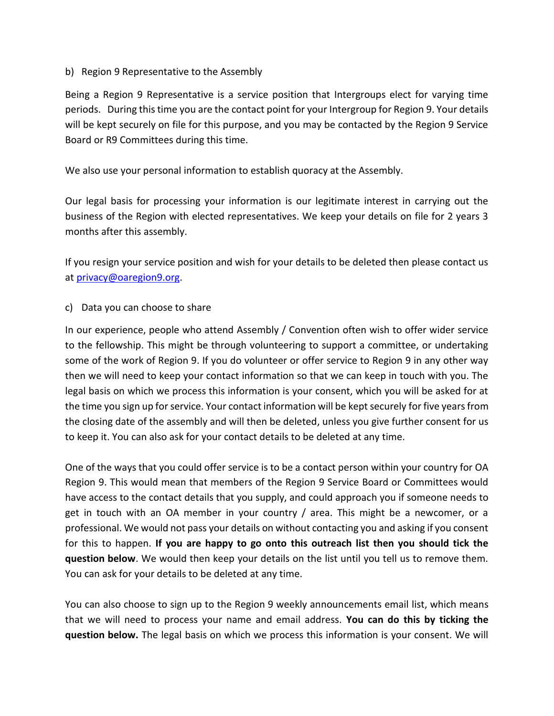#### b) Region 9 Representative to the Assembly

Being a Region 9 Representative is a service position that Intergroups elect for varying time periods. During this time you are the contact point for your Intergroup for Region 9. Your details will be kept securely on file for this purpose, and you may be contacted by the Region 9 Service Board or R9 Committees during this time.

We also use your personal information to establish quoracy at the Assembly.

Our legal basis for processing your information is our legitimate interest in carrying out the business of the Region with elected representatives. We keep your details on file for 2 years 3 months after this assembly.

If you resign your service position and wish for your details to be deleted then please contact us at [privacy@oaregion9.org.](mailto:privacy@oaregion9.org)

#### c) Data you can choose to share

In our experience, people who attend Assembly / Convention often wish to offer wider service to the fellowship. This might be through volunteering to support a committee, or undertaking some of the work of Region 9. If you do volunteer or offer service to Region 9 in any other way then we will need to keep your contact information so that we can keep in touch with you. The legal basis on which we process this information is your consent, which you will be asked for at the time you sign up for service. Your contact information will be kept securely for five years from the closing date of the assembly and will then be deleted, unless you give further consent for us to keep it. You can also ask for your contact details to be deleted at any time.

One of the ways that you could offer service is to be a contact person within your country for OA Region 9. This would mean that members of the Region 9 Service Board or Committees would have access to the contact details that you supply, and could approach you if someone needs to get in touch with an OA member in your country / area. This might be a newcomer, or a professional. We would not pass your details on without contacting you and asking if you consent for this to happen. **If you are happy to go onto this outreach list then you should tick the question below**. We would then keep your details on the list until you tell us to remove them. You can ask for your details to be deleted at any time.

You can also choose to sign up to the Region 9 weekly announcements email list, which means that we will need to process your name and email address. **You can do this by ticking the question below.** The legal basis on which we process this information is your consent. We will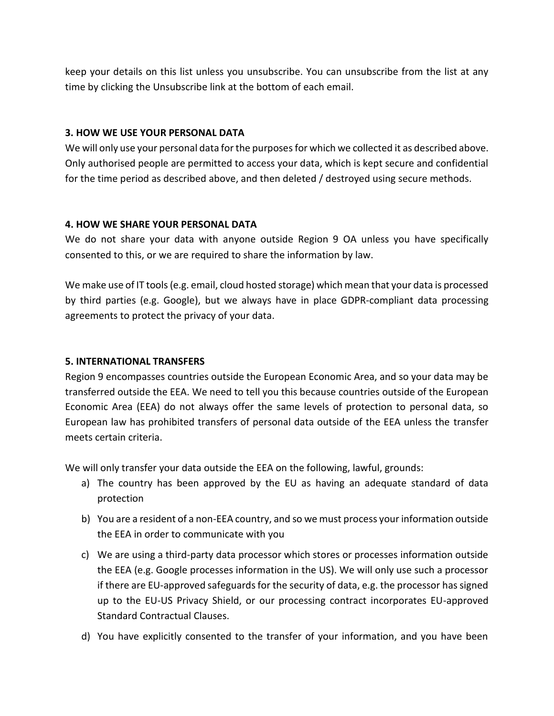keep your details on this list unless you unsubscribe. You can unsubscribe from the list at any time by clicking the Unsubscribe link at the bottom of each email.

#### **3. HOW WE USE YOUR PERSONAL DATA**

We will only use your personal data for the purposes for which we collected it as described above. Only authorised people are permitted to access your data, which is kept secure and confidential for the time period as described above, and then deleted / destroyed using secure methods.

#### **4. HOW WE SHARE YOUR PERSONAL DATA**

We do not share your data with anyone outside Region 9 OA unless you have specifically consented to this, or we are required to share the information by law.

We make use of IT tools (e.g. email, cloud hosted storage) which mean that your data is processed by third parties (e.g. Google), but we always have in place GDPR-compliant data processing agreements to protect the privacy of your data.

#### **5. INTERNATIONAL TRANSFERS**

Region 9 encompasses countries outside the European Economic Area, and so your data may be transferred outside the EEA. We need to tell you this because countries outside of the European Economic Area (EEA) do not always offer the same levels of protection to personal data, so European law has prohibited transfers of personal data outside of the EEA unless the transfer meets certain criteria.

We will only transfer your data outside the EEA on the following, lawful, grounds:

- a) The country has been approved by the EU as having an adequate standard of data protection
- b) You are a resident of a non-EEA country, and so we must process your information outside the EEA in order to communicate with you
- c) We are using a third-party data processor which stores or processes information outside the EEA (e.g. Google processes information in the US). We will only use such a processor if there are EU-approved safeguards for the security of data, e.g. the processor has signed up to the EU-US Privacy Shield, or our processing contract incorporates EU-approved Standard Contractual Clauses.
- d) You have explicitly consented to the transfer of your information, and you have been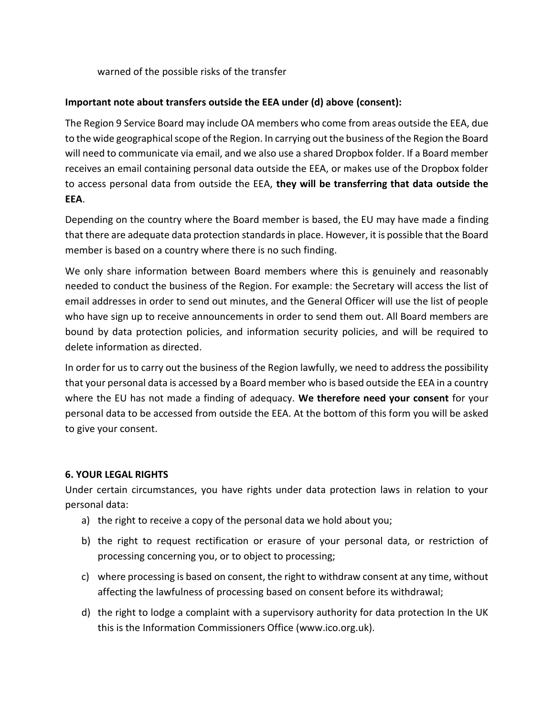warned of the possible risks of the transfer

#### **Important note about transfers outside the EEA under (d) above (consent):**

The Region 9 Service Board may include OA members who come from areas outside the EEA, due to the wide geographical scope of the Region. In carrying out the business of the Region the Board will need to communicate via email, and we also use a shared Dropbox folder. If a Board member receives an email containing personal data outside the EEA, or makes use of the Dropbox folder to access personal data from outside the EEA, **they will be transferring that data outside the EEA**.

Depending on the country where the Board member is based, the EU may have made a finding that there are adequate data protection standards in place. However, it is possible that the Board member is based on a country where there is no such finding.

We only share information between Board members where this is genuinely and reasonably needed to conduct the business of the Region. For example: the Secretary will access the list of email addresses in order to send out minutes, and the General Officer will use the list of people who have sign up to receive announcements in order to send them out. All Board members are bound by data protection policies, and information security policies, and will be required to delete information as directed.

In order for us to carry out the business of the Region lawfully, we need to address the possibility that your personal data is accessed by a Board member who is based outside the EEA in a country where the EU has not made a finding of adequacy. **We therefore need your consent** for your personal data to be accessed from outside the EEA. At the bottom of this form you will be asked to give your consent.

#### **6. YOUR LEGAL RIGHTS**

Under certain circumstances, you have rights under data protection laws in relation to your personal data:

- a) the right to receive a copy of the personal data we hold about you;
- b) the right to request rectification or erasure of your personal data, or restriction of processing concerning you, or to object to processing;
- c) where processing is based on consent, the right to withdraw consent at any time, without affecting the lawfulness of processing based on consent before its withdrawal;
- d) the right to lodge a complaint with a supervisory authority for data protection In the UK this is the Information Commissioners Office (www.ico.org.uk).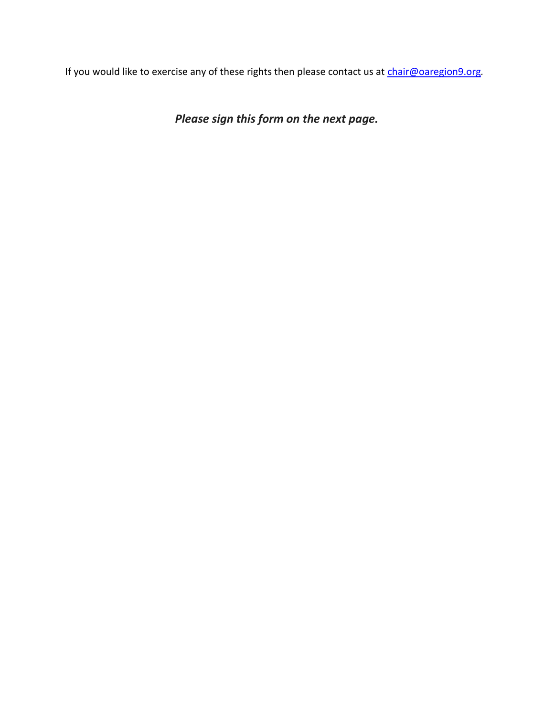If you would like to exercise any of these rights then please contact us at [chair@oaregion9.org](mailto:chair@oaregion9.org)*.*

*Please sign this form on the next page.*